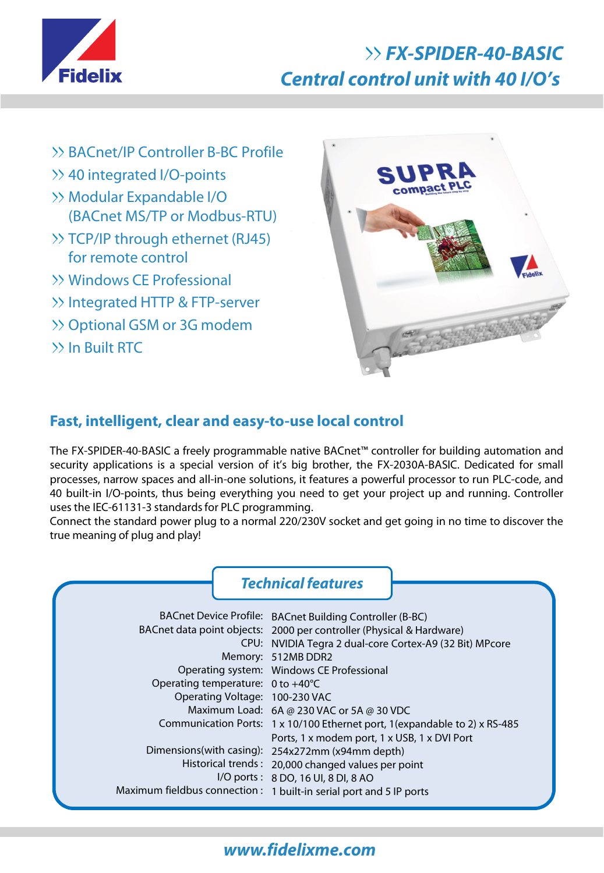

# **FX-SPIDER-40-BASIC Central control unit with 40 I/O's**

- BACnet/IP Controller B-BC Profile
- 40 integrated I/O-points
- Modular Expandable I/O (BACnet MS/TP or Modbus-RTU)
- TCP/IP through ethernet (RJ45) for remote control
- Windows CE Professional
- >> Integrated HTTP & FTP-server
- >> Optional GSM or 3G modem
- In Built RTC



#### **Fast, intelligent, clear and easy-to-use local control**

The FX-SPIDER-40-BASIC a freely programmable native BACnet™ controller for building automation and security applications is a special version of it's big brother, the FX-2030A-BASIC. Dedicated for small processes, narrow spaces and all-in-one solutions, it features a powerful processor to run PLC-code, and 40 built-in I/O-points, thus being everything you need to get your project up and running. Controller uses the IEC-61131-3 standards for PLC programming.

Connect the standard power plug to a normal 220/230V socket and get going in no time to discover the true meaning of plug and play!

## **Technical features**

|                                   | BACnet Device Profile: BACnet Building Controller (B-BC)                   |
|-----------------------------------|----------------------------------------------------------------------------|
|                                   | BACnet data point objects: 2000 per controller (Physical & Hardware)       |
|                                   | CPU: NVIDIA Tegra 2 dual-core Cortex-A9 (32 Bit) MPcore                    |
|                                   | Memory: 512MB DDR2                                                         |
|                                   | Operating system: Windows CE Professional                                  |
| Operating temperature: 0 to +40°C |                                                                            |
| Operating Voltage: 100-230 VAC    |                                                                            |
|                                   | Maximum Load: 6A @ 230 VAC or 5A @ 30 VDC                                  |
|                                   | Communication Ports: 1 x 10/100 Ethernet port, 1(expandable to 2) x RS-485 |
|                                   | Ports, 1 x modem port, 1 x USB, 1 x DVI Port                               |
|                                   | Dimensions(with casing): 254x272mm (x94mm depth)                           |
|                                   | Historical trends: 20,000 changed values per point                         |
|                                   | I/O ports: 8 DO, 16 UI, 8 DI, 8 AO                                         |
|                                   | Maximum fieldbus connection: 1 built-in serial port and 5 IP ports         |
|                                   |                                                                            |

### **www.fidelixme.com**